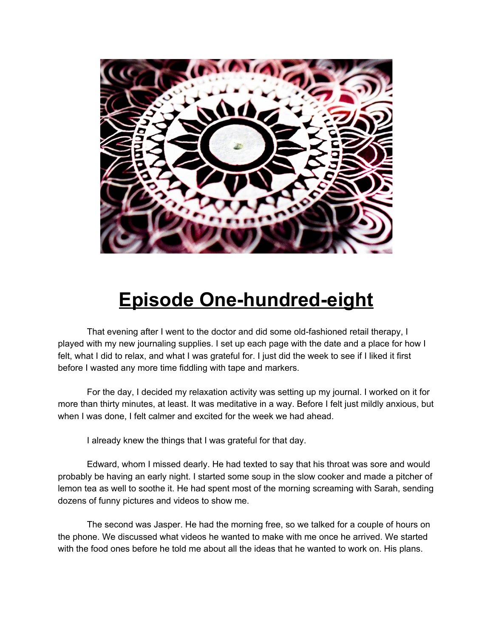

## **Episode One-hundred-eight**

That evening after I went to the doctor and did some old-fashioned retail therapy, I played with my new journaling supplies. I set up each page with the date and a place for how I felt, what I did to relax, and what I was grateful for. I just did the week to see if I liked it first before I wasted any more time fiddling with tape and markers.

For the day, I decided my relaxation activity was setting up my journal. I worked on it for more than thirty minutes, at least. It was meditative in a way. Before I felt just mildly anxious, but when I was done, I felt calmer and excited for the week we had ahead.

I already knew the things that I was grateful for that day.

Edward, whom I missed dearly. He had texted to say that his throat was sore and would probably be having an early night. I started some soup in the slow cooker and made a pitcher of lemon tea as well to soothe it. He had spent most of the morning screaming with Sarah, sending dozens of funny pictures and videos to show me.

The second was Jasper. He had the morning free, so we talked for a couple of hours on the phone. We discussed what videos he wanted to make with me once he arrived. We started with the food ones before he told me about all the ideas that he wanted to work on. His plans.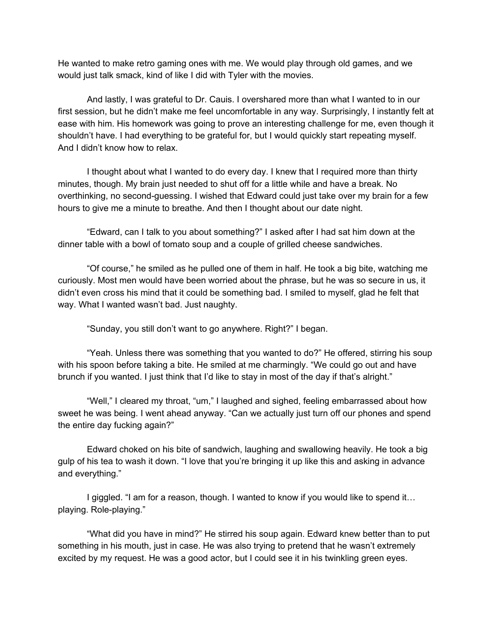He wanted to make retro gaming ones with me. We would play through old games, and we would just talk smack, kind of like I did with Tyler with the movies.

And lastly, I was grateful to Dr. Cauis. I overshared more than what I wanted to in our first session, but he didn't make me feel uncomfortable in any way. Surprisingly, I instantly felt at ease with him. His homework was going to prove an interesting challenge for me, even though it shouldn't have. I had everything to be grateful for, but I would quickly start repeating myself. And I didn't know how to relax.

I thought about what I wanted to do every day. I knew that I required more than thirty minutes, though. My brain just needed to shut off for a little while and have a break. No overthinking, no second-guessing. I wished that Edward could just take over my brain for a few hours to give me a minute to breathe. And then I thought about our date night.

"Edward, can I talk to you about something?" I asked after I had sat him down at the dinner table with a bowl of tomato soup and a couple of grilled cheese sandwiches.

"Of course," he smiled as he pulled one of them in half. He took a big bite, watching me curiously. Most men would have been worried about the phrase, but he was so secure in us, it didn't even cross his mind that it could be something bad. I smiled to myself, glad he felt that way. What I wanted wasn't bad. Just naughty.

"Sunday, you still don't want to go anywhere. Right?" I began.

"Yeah. Unless there was something that you wanted to do?" He offered, stirring his soup with his spoon before taking a bite. He smiled at me charmingly. "We could go out and have brunch if you wanted. I just think that I'd like to stay in most of the day if that's alright."

"Well," I cleared my throat, "um," I laughed and sighed, feeling embarrassed about how sweet he was being. I went ahead anyway. "Can we actually just turn off our phones and spend the entire day fucking again?"

Edward choked on his bite of sandwich, laughing and swallowing heavily. He took a big gulp of his tea to wash it down. "I love that you're bringing it up like this and asking in advance and everything."

I giggled. "I am for a reason, though. I wanted to know if you would like to spend it... playing. Role-playing."

"What did you have in mind?" He stirred his soup again. Edward knew better than to put something in his mouth, just in case. He was also trying to pretend that he wasn't extremely excited by my request. He was a good actor, but I could see it in his twinkling green eyes.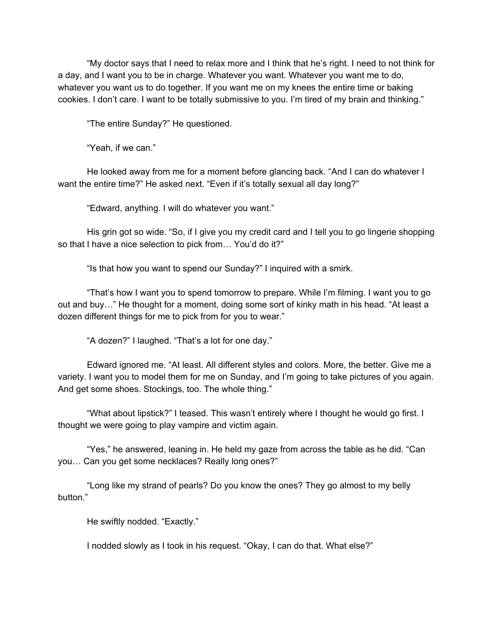"My doctor says that I need to relax more and I think that he's right. I need to not think for a day, and I want you to be in charge. Whatever you want. Whatever you want me to do, whatever you want us to do together. If you want me on my knees the entire time or baking cookies. I don't care. I want to be totally submissive to you. I'm tired of my brain and thinking."

"The entire Sunday?" He questioned.

"Yeah, if we can."

He looked away from me for a moment before glancing back. "And I can do whatever I want the entire time?" He asked next. "Even if it's totally sexual all day long?"

"Edward, anything. I will do whatever you want."

His grin got so wide. "So, if I give you my credit card and I tell you to go lingerie shopping so that I have a nice selection to pick from… You'd do it?"

"Is that how you want to spend our Sunday?" I inquired with a smirk.

"That's how I want you to spend tomorrow to prepare. While I'm filming. I want you to go out and buy…" He thought for a moment, doing some sort of kinky math in his head. "At least a dozen different things for me to pick from for you to wear."

"A dozen?" I laughed. "That's a lot for one day."

Edward ignored me. "At least. All different styles and colors. More, the better. Give me a variety. I want you to model them for me on Sunday, and I'm going to take pictures of you again. And get some shoes. Stockings, too. The whole thing."

"What about lipstick?" I teased. This wasn't entirely where I thought he would go first. I thought we were going to play vampire and victim again.

"Yes," he answered, leaning in. He held my gaze from across the table as he did. "Can you… Can you get some necklaces? Really long ones?"

"Long like my strand of pearls? Do you know the ones? They go almost to my belly button."

He swiftly nodded. "Exactly."

I nodded slowly as I took in his request. "Okay, I can do that. What else?"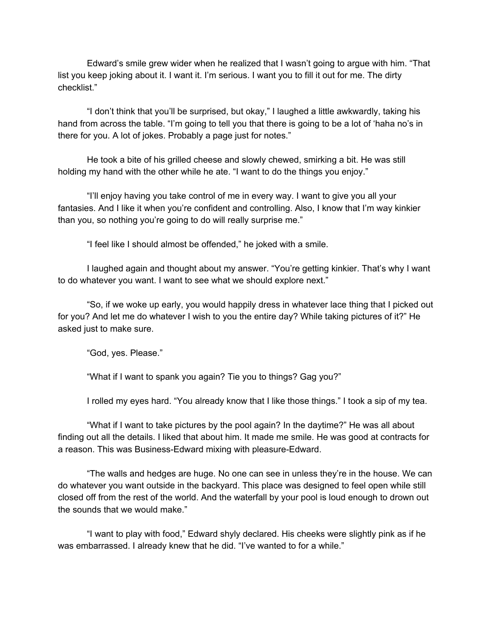Edward's smile grew wider when he realized that I wasn't going to argue with him. "That list you keep joking about it. I want it. I'm serious. I want you to fill it out for me. The dirty checklist."

"I don't think that you'll be surprised, but okay," I laughed a little awkwardly, taking his hand from across the table. "I'm going to tell you that there is going to be a lot of 'haha no's in there for you. A lot of jokes. Probably a page just for notes."

He took a bite of his grilled cheese and slowly chewed, smirking a bit. He was still holding my hand with the other while he ate. "I want to do the things you enjoy."

"I'll enjoy having you take control of me in every way. I want to give you all your fantasies. And I like it when you're confident and controlling. Also, I know that I'm way kinkier than you, so nothing you're going to do will really surprise me."

"I feel like I should almost be offended," he joked with a smile.

I laughed again and thought about my answer. "You're getting kinkier. That's why I want to do whatever you want. I want to see what we should explore next."

"So, if we woke up early, you would happily dress in whatever lace thing that I picked out for you? And let me do whatever I wish to you the entire day? While taking pictures of it?" He asked just to make sure.

"God, yes. Please."

"What if I want to spank you again? Tie you to things? Gag you?"

I rolled my eyes hard. "You already know that I like those things." I took a sip of my tea.

"What if I want to take pictures by the pool again? In the daytime?" He was all about finding out all the details. I liked that about him. It made me smile. He was good at contracts for a reason. This was Business-Edward mixing with pleasure-Edward.

"The walls and hedges are huge. No one can see in unless they're in the house. We can do whatever you want outside in the backyard. This place was designed to feel open while still closed off from the rest of the world. And the waterfall by your pool is loud enough to drown out the sounds that we would make."

"I want to play with food," Edward shyly declared. His cheeks were slightly pink as if he was embarrassed. I already knew that he did. "I've wanted to for a while."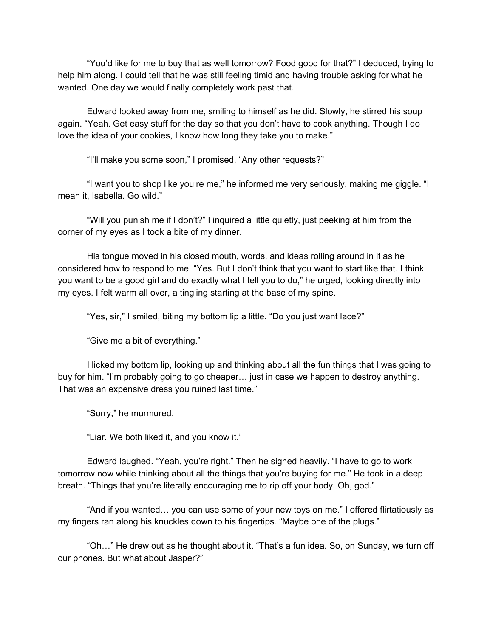"You'd like for me to buy that as well tomorrow? Food good for that?" I deduced, trying to help him along. I could tell that he was still feeling timid and having trouble asking for what he wanted. One day we would finally completely work past that.

Edward looked away from me, smiling to himself as he did. Slowly, he stirred his soup again. "Yeah. Get easy stuff for the day so that you don't have to cook anything. Though I do love the idea of your cookies, I know how long they take you to make."

"I'll make you some soon," I promised. "Any other requests?"

"I want you to shop like you're me," he informed me very seriously, making me giggle. "I mean it, Isabella. Go wild."

"Will you punish me if I don't?" I inquired a little quietly, just peeking at him from the corner of my eyes as I took a bite of my dinner.

His tongue moved in his closed mouth, words, and ideas rolling around in it as he considered how to respond to me. "Yes. But I don't think that you want to start like that. I think you want to be a good girl and do exactly what I tell you to do," he urged, looking directly into my eyes. I felt warm all over, a tingling starting at the base of my spine.

"Yes, sir," I smiled, biting my bottom lip a little. "Do you just want lace?"

"Give me a bit of everything."

I licked my bottom lip, looking up and thinking about all the fun things that I was going to buy for him. "I'm probably going to go cheaper… just in case we happen to destroy anything. That was an expensive dress you ruined last time."

"Sorry," he murmured.

"Liar. We both liked it, and you know it."

Edward laughed. "Yeah, you're right." Then he sighed heavily. "I have to go to work tomorrow now while thinking about all the things that you're buying for me." He took in a deep breath. "Things that you're literally encouraging me to rip off your body. Oh, god."

"And if you wanted… you can use some of your new toys on me." I offered flirtatiously as my fingers ran along his knuckles down to his fingertips. "Maybe one of the plugs."

"Oh…" He drew out as he thought about it. "That's a fun idea. So, on Sunday, we turn off our phones. But what about Jasper?"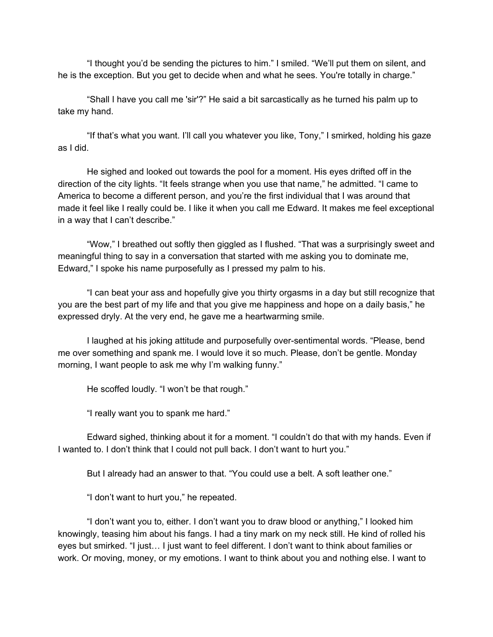"I thought you'd be sending the pictures to him." I smiled. "We'll put them on silent, and he is the exception. But you get to decide when and what he sees. You're totally in charge."

"Shall I have you call me 'sir'?" He said a bit sarcastically as he turned his palm up to take my hand.

"If that's what you want. I'll call you whatever you like, Tony," I smirked, holding his gaze as I did.

He sighed and looked out towards the pool for a moment. His eyes drifted off in the direction of the city lights. "It feels strange when you use that name," he admitted. "I came to America to become a different person, and you're the first individual that I was around that made it feel like I really could be. I like it when you call me Edward. It makes me feel exceptional in a way that I can't describe."

"Wow," I breathed out softly then giggled as I flushed. "That was a surprisingly sweet and meaningful thing to say in a conversation that started with me asking you to dominate me, Edward," I spoke his name purposefully as I pressed my palm to his.

"I can beat your ass and hopefully give you thirty orgasms in a day but still recognize that you are the best part of my life and that you give me happiness and hope on a daily basis," he expressed dryly. At the very end, he gave me a heartwarming smile.

I laughed at his joking attitude and purposefully over-sentimental words. "Please, bend me over something and spank me. I would love it so much. Please, don't be gentle. Monday morning, I want people to ask me why I'm walking funny."

He scoffed loudly. "I won't be that rough."

"I really want you to spank me hard."

Edward sighed, thinking about it for a moment. "I couldn't do that with my hands. Even if I wanted to. I don't think that I could not pull back. I don't want to hurt you."

But I already had an answer to that. "You could use a belt. A soft leather one."

"I don't want to hurt you," he repeated.

"I don't want you to, either. I don't want you to draw blood or anything," I looked him knowingly, teasing him about his fangs. I had a tiny mark on my neck still. He kind of rolled his eyes but smirked. "I just… I just want to feel different. I don't want to think about families or work. Or moving, money, or my emotions. I want to think about you and nothing else. I want to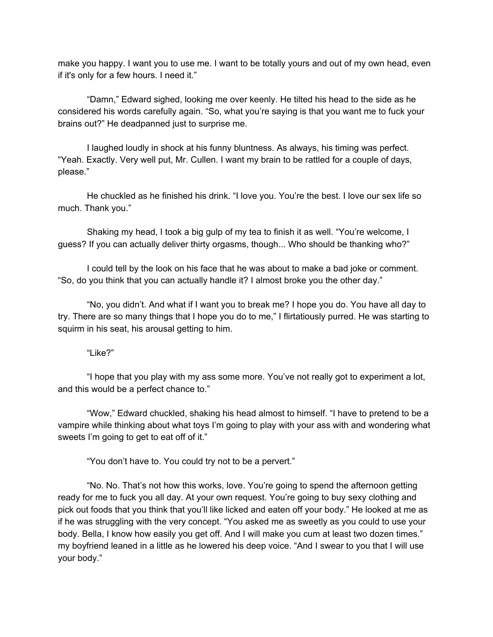make you happy. I want you to use me. I want to be totally yours and out of my own head, even if it's only for a few hours. I need it."

"Damn," Edward sighed, looking me over keenly. He tilted his head to the side as he considered his words carefully again. "So, what you're saying is that you want me to fuck your brains out?" He deadpanned just to surprise me.

I laughed loudly in shock at his funny bluntness. As always, his timing was perfect. "Yeah. Exactly. Very well put, Mr. Cullen. I want my brain to be rattled for a couple of days, please."

He chuckled as he finished his drink. "I love you. You're the best. I love our sex life so much. Thank you."

Shaking my head, I took a big gulp of my tea to finish it as well. "You're welcome, I guess? If you can actually deliver thirty orgasms, though... Who should be thanking who?"

I could tell by the look on his face that he was about to make a bad joke or comment. "So, do you think that you can actually handle it? I almost broke you the other day."

"No, you didn't. And what if I want you to break me? I hope you do. You have all day to try. There are so many things that I hope you do to me," I flirtatiously purred. He was starting to squirm in his seat, his arousal getting to him.

## "Like?"

"I hope that you play with my ass some more. You've not really got to experiment a lot, and this would be a perfect chance to."

"Wow," Edward chuckled, shaking his head almost to himself. "I have to pretend to be a vampire while thinking about what toys I'm going to play with your ass with and wondering what sweets I'm going to get to eat off of it."

"You don't have to. You could try not to be a pervert."

"No. No. That's not how this works, love. You're going to spend the afternoon getting ready for me to fuck you all day. At your own request. You're going to buy sexy clothing and pick out foods that you think that you'll like licked and eaten off your body." He looked at me as if he was struggling with the very concept. "You asked me as sweetly as you could to use your body. Bella, I know how easily you get off. And I will make you cum at least two dozen times." my boyfriend leaned in a little as he lowered his deep voice. "And I swear to you that I will use your body."